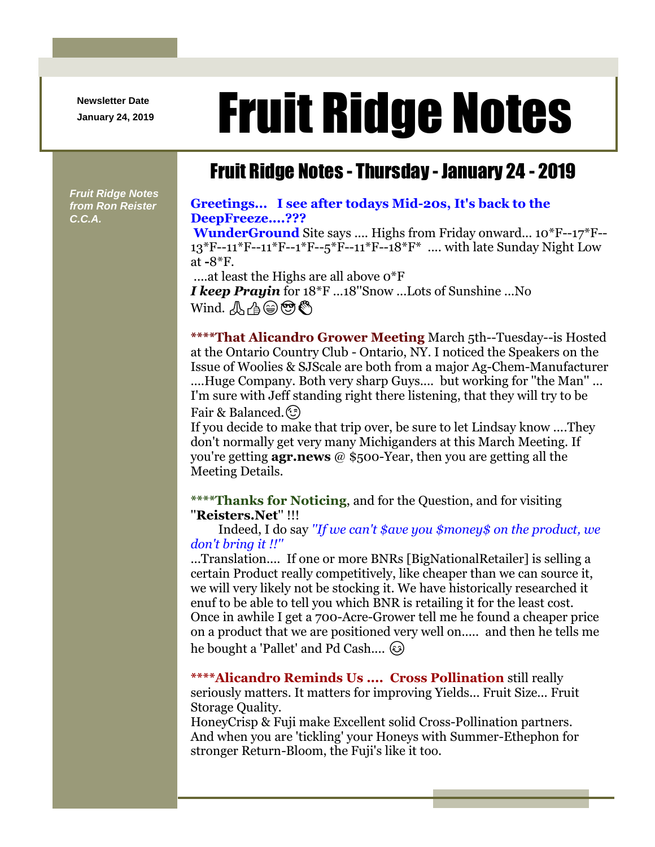**Newsletter Date**

## Newsletter Date **Fruit Ridge Notes**

## Fruit Ridge Notes - Thursday - January 24 - 2019

*Fruit Ridge Notes from Ron Reister C.C.A.*

## **Greetings... I see after todays Mid-20s, It's back to the DeepFreeze....???**

**WunderGround** Site says .... Highs from Friday onward... 10\*F--17\*F-- 13\*F--11\*F--11\*F--1\*F--5\*F--11\*F--18\*F\* .... with late Sunday Night Low at **-**8\*F.

....at least the Highs are all above 0\*F *I keep Prayin* for 18\*F ...18''Snow ...Lots of Sunshine ...No  $W$ ind.  $\mathcal{A} \oplus \mathcal{A} \oplus \mathcal{B}$ 

**\*\*\*\*That Alicandro Grower Meeting** March 5th--Tuesday--is Hosted at the Ontario Country Club - Ontario, NY. I noticed the Speakers on the Issue of Woolies & SJScale are both from a major Ag-Chem-Manufacturer ....Huge Company. Both very sharp Guys.... but working for ''the Man'' ... I'm sure with Jeff standing right there listening, that they will try to be Fair & Balanced. (c)

If you decide to make that trip over, be sure to let Lindsay know ....They don't normally get very many Michiganders at this March Meeting. If you're getting **agr.news** @ \$500-Year, then you are getting all the Meeting Details.

**\*\*\*\*Thanks for Noticing**, and for the Question, and for visiting ''**Reisters.Net**'' !!!

Indeed, I do say *''If we can't \$ave you \$money\$ on the product, we don't bring it !!''*

...Translation.... If one or more BNRs [BigNationalRetailer] is selling a certain Product really competitively, like cheaper than we can source it, we will very likely not be stocking it. We have historically researched it enuf to be able to tell you which BNR is retailing it for the least cost. Once in awhile I get a 700-Acre-Grower tell me he found a cheaper price on a product that we are positioned very well on..... and then he tells me he bought a 'Pallet' and Pd Cash....  $\circled{e}$ 

**\*\*\*\*Alicandro Reminds Us .... Cross Pollination** still really seriously matters. It matters for improving Yields... Fruit Size... Fruit Storage Quality.

HoneyCrisp & Fuji make Excellent solid Cross-Pollination partners. And when you are 'tickling' your Honeys with Summer-Ethephon for stronger Return-Bloom, the Fuji's like it too.